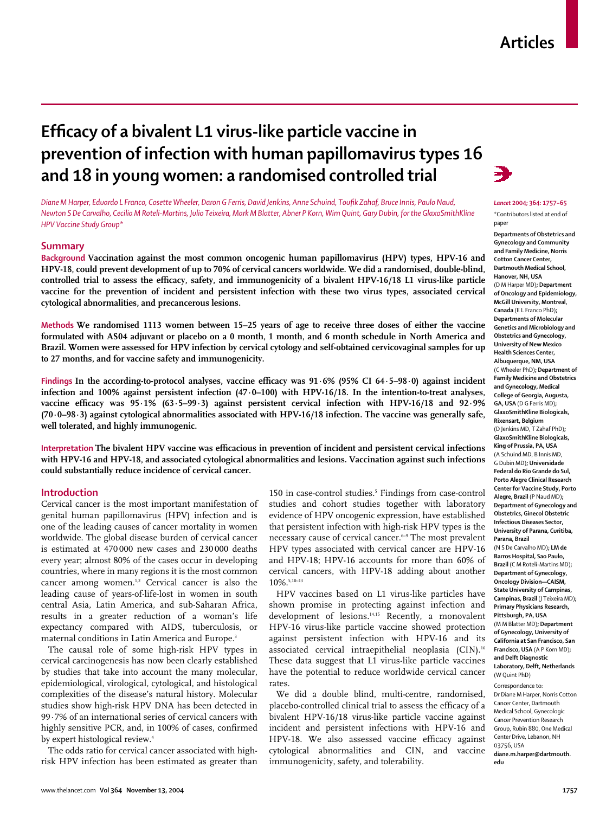# **Efficacy of a bivalent L1 virus-like particle vaccine in prevention of infection with human papillomavirus types 16 and 18 in young women: a randomised controlled trial**

*Diane M Harper, Eduardo L Franco, Cosette Wheeler, Daron G Ferris, David Jenkins, Anne Schuind, Toufik Zahaf, Bruce Innis, Paulo Naud, Newton S De Carvalho, Cecilia M Roteli-Martins, Julio Teixeira, Mark M Blatter, Abner P Korn, Wim Quint, Gary Dubin, for the GlaxoSmithKline HPV Vaccine Study Group\**

# **Summary**

**Background Vaccination against the most common oncogenic human papillomavirus (HPV) types, HPV-16 and HPV-18, could prevent development of up to 70% of cervical cancers worldwide. We did a randomised, double-blind, controlled trial to assess the efficacy, safety, and immunogenicity of a bivalent HPV-16/18 L1 virus-like particle vaccine for the prevention of incident and persistent infection with these two virus types, associated cervical cytological abnormalities, and precancerous lesions.** 

**Methods We randomised 1113 women between 15–25 years of age to receive three doses of either the vaccine formulated with AS04 adjuvant or placebo on a 0 month, 1 month, and 6 month schedule in North America and Brazil. Women were assessed for HPV infection by cervical cytology and self-obtained cervicovaginal samples for up to 27 months, and for vaccine safety and immunogenicity.** 

**Findings In the according-to-protocol analyses, vaccine efficacy was 91·6% (95% CI 64·5–98·0) against incident infection and 100% against persistent infection (47·0–100) with HPV-16/18. In the intention-to-treat analyses, vaccine efficacy was 95·1% (63·5–99·3) against persistent cervical infection with HPV-16/18 and 92·9% (70·0–98·3) against cytological abnormalities associated with HPV-16/18 infection. The vaccine was generally safe, well tolerated, and highly immunogenic.** 

**Interpretation The bivalent HPV vaccine was efficacious in prevention of incident and persistent cervical infections with HPV-16 and HPV-18, and associated cytological abnormalities and lesions. Vaccination against such infections could substantially reduce incidence of cervical cancer.** 

# **Introduction**

Cervical cancer is the most important manifestation of genital human papillomavirus (HPV) infection and is one of the leading causes of cancer mortality in women worldwide. The global disease burden of cervical cancer is estimated at 470 000 new cases and 230 000 deaths every year; almost 80% of the cases occur in developing countries, where in many regions it is the most common cancer among women.<sup>1,2</sup> Cervical cancer is also the leading cause of years-of-life-lost in women in south central Asia, Latin America, and sub-Saharan Africa, results in a greater reduction of a woman's life expectancy compared with AIDS, tuberculosis, or maternal conditions in Latin America and Europe.<sup>3</sup>

The causal role of some high-risk HPV types in cervical carcinogenesis has now been clearly established by studies that take into account the many molecular, epidemiological, virological, cytological, and histological complexities of the disease's natural history. Molecular studies show high-risk HPV DNA has been detected in 99·7% of an international series of cervical cancers with highly sensitive PCR, and, in 100% of cases, confirmed by expert histological review.<sup>4</sup>

The odds ratio for cervical cancer associated with highrisk HPV infection has been estimated as greater than 150 in case-control studies.<sup>5</sup> Findings from case-control studies and cohort studies together with laboratory evidence of HPV oncogenic expression, have established that persistent infection with high-risk HPV types is the necessary cause of cervical cancer.<sup>6-9</sup> The most prevalent HPV types associated with cervical cancer are HPV-16 and HPV-18; HPV-16 accounts for more than 60% of cervical cancers, with HPV-18 adding about another 10%.5,10–13

HPV vaccines based on L1 virus-like particles have shown promise in protecting against infection and development of lesions.<sup>14,15</sup> Recently, a monovalent HPV-16 virus-like particle vaccine showed protection against persistent infection with HPV-16 and its associated cervical intraepithelial neoplasia (CIN).<sup>16</sup> These data suggest that L1 virus-like particle vaccines have the potential to reduce worldwide cervical cancer rates.

We did a double blind, multi-centre, randomised, placebo-controlled clinical trial to assess the efficacy of a bivalent HPV-16/18 virus-like particle vaccine against incident and persistent infections with HPV-16 and HPV-18. We also assessed vaccine efficacy against cytological abnormalities and CIN, and vaccine immunogenicity, safety, and tolerability.



### *Lancet* **2004; 364: 1757–65**

\*Contributors listed at end of paper

**Departments of Obstetrics and Gynecology and Community and Family Medicine, Norris Cotton Cancer Center, Dartmouth Medical School, Hanover, NH, USA**  (D M Harper MD)**; Department of Oncology and Epidemiology, McGill University, Montreal, Canada** (E L Franco PhD)**; Departments of Molecular Genetics and Microbiology and Obstetrics and Gynecology, University of New Mexico Health Sciences Center, Albuquerque, NM, USA** (C Wheeler PhD)**; Department of Family Medicine and Obstetrics and Gynecology, Medical College of Georgia, Augusta, GA, USA** (D G Ferris MD)**; GlaxoSmithKline Biologicals, Rixensart, Belgium** (D Jenkins MD, T Zahaf PhD)**; GlaxoSmithKline Biologicals, King of Prussia, PA, USA** (A Schuind MD, B Innis MD, G Dubin MD)**; Universidade Federal do Rio Grande do Sul, Porto Alegre Clinical Research Center for Vaccine Study, Porto Alegre, Brazil** (P Naud MD)**; Department of Gynecology and Obstetrics, Ginecol Obstetric Infectious Diseases Sector, University of Parana, Curitiba, Parana, Brazil** (N S De Carvalho MD)**; LM de Barros Hospital, Sao Paulo, Brazil** (C M Roteli-Martins MD)**; Department of Gynecology, Oncology Division—CAISM, State University of Campinas, Campinas, Brazil** (J Teixeira MD)**; Primary Physicians Research, Pittsburgh, PA, USA** (M M Blatter MD)**; Department of Gynecology, University of California at San Francisco, San Francisco, USA** (A P Korn MD)**; and Delft Diagnostic Laboratory, Delft, Netherlands** (W Quint PhD)

Correspondence to: Dr Diane M Harper, Norris Cotton Cancer Center, Dartmouth Medical School, Gynecologic Cancer Prevention Research Group, Rubin 880, One Medical Center Drive, Lebanon, NH 03756, USA **diane.m.harper@dartmouth. edu**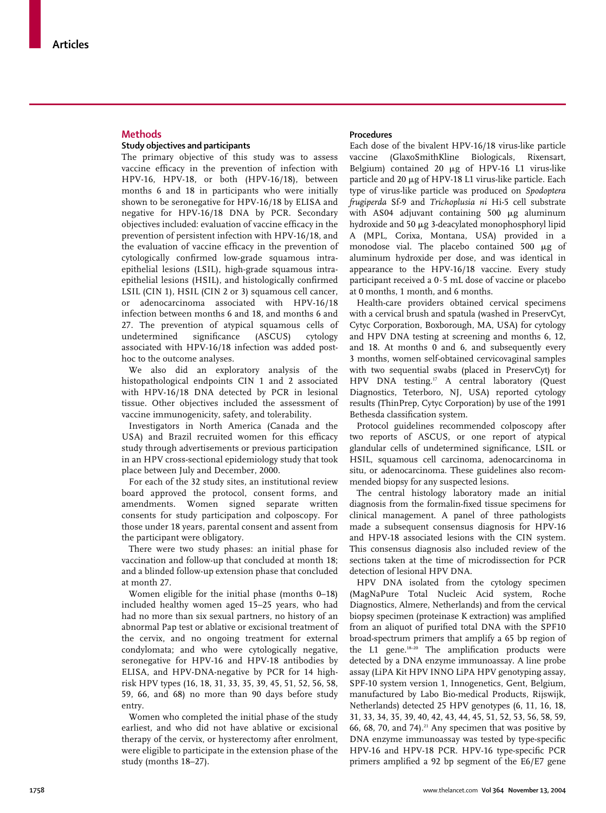# **Methods**

# **Study objectives and participants**

The primary objective of this study was to assess vaccine efficacy in the prevention of infection with HPV-16, HPV-18, or both (HPV-16/18), between months 6 and 18 in participants who were initially shown to be seronegative for HPV-16/18 by ELISA and negative for HPV-16/18 DNA by PCR. Secondary objectives included: evaluation of vaccine efficacy in the prevention of persistent infection with HPV-16/18, and the evaluation of vaccine efficacy in the prevention of cytologically confirmed low-grade squamous intraepithelial lesions (LSIL), high-grade squamous intraepithelial lesions (HSIL), and histologically confirmed LSIL (CIN 1), HSIL (CIN 2 or 3) squamous cell cancer, or adenocarcinoma associated with HPV-16/18 infection between months 6 and 18, and months 6 and 27. The prevention of atypical squamous cells of undetermined significance (ASCUS) cytology associated with HPV-16/18 infection was added posthoc to the outcome analyses.

We also did an exploratory analysis of the histopathological endpoints CIN 1 and 2 associated with HPV-16/18 DNA detected by PCR in lesional tissue. Other objectives included the assessment of vaccine immunogenicity, safety, and tolerability.

Investigators in North America (Canada and the USA) and Brazil recruited women for this efficacy study through advertisements or previous participation in an HPV cross-sectional epidemiology study that took place between July and December, 2000.

For each of the 32 study sites, an institutional review board approved the protocol, consent forms, and amendments. Women signed separate written consents for study participation and colposcopy. For those under 18 years, parental consent and assent from the participant were obligatory.

There were two study phases: an initial phase for vaccination and follow-up that concluded at month 18; and a blinded follow-up extension phase that concluded at month 27.

Women eligible for the initial phase (months 0–18) included healthy women aged 15–25 years, who had had no more than six sexual partners, no history of an abnormal Pap test or ablative or excisional treatment of the cervix, and no ongoing treatment for external condylomata; and who were cytologically negative, seronegative for HPV-16 and HPV-18 antibodies by ELISA, and HPV-DNA-negative by PCR for 14 highrisk HPV types (16, 18, 31, 33, 35, 39, 45, 51, 52, 56, 58, 59, 66, and 68) no more than 90 days before study entry.

Women who completed the initial phase of the study earliest, and who did not have ablative or excisional therapy of the cervix, or hysterectomy after enrolment, were eligible to participate in the extension phase of the study (months 18–27).

## **Procedures**

Each dose of the bivalent HPV-16/18 virus-like particle vaccine (GlaxoSmithKline Biologicals, Rixensart, Belgium) contained  $20 \mu g$  of HPV-16 L1 virus-like particle and 20 µg of HPV-18 L1 virus-like particle. Each type of virus-like particle was produced on *Spodoptera frugiperda* Sf-9 and *Trichoplusia ni* Hi-5 cell substrate with AS04 adjuvant containing 500  $\mu$ g aluminum hydroxide and 50 µg 3-deacylated monophosphoryl lipid A (MPL, Corixa, Montana, USA) provided in a monodose vial. The placebo contained 500  $\mu$ g of aluminum hydroxide per dose, and was identical in appearance to the HPV-16/18 vaccine. Every study participant received a 0·5 mL dose of vaccine or placebo at 0 months, 1 month, and 6 months.

Health-care providers obtained cervical specimens with a cervical brush and spatula (washed in PreservCyt, Cytyc Corporation, Boxborough, MA, USA) for cytology and HPV DNA testing at screening and months 6, 12, and 18. At months 0 and 6, and subsequently every 3 months, women self-obtained cervicovaginal samples with two sequential swabs (placed in PreservCyt) for HPV DNA testing.<sup>17</sup> A central laboratory (Quest Diagnostics, Teterboro, NJ, USA) reported cytology results (ThinPrep, Cytyc Corporation) by use of the 1991 Bethesda classification system.

Protocol guidelines recommended colposcopy after two reports of ASCUS, or one report of atypical glandular cells of undetermined significance, LSIL or HSIL, squamous cell carcinoma, adenocarcinoma in situ, or adenocarcinoma. These guidelines also recommended biopsy for any suspected lesions.

The central histology laboratory made an initial diagnosis from the formalin-fixed tissue specimens for clinical management. A panel of three pathologists made a subsequent consensus diagnosis for HPV-16 and HPV-18 associated lesions with the CIN system. This consensus diagnosis also included review of the sections taken at the time of microdissection for PCR detection of lesional HPV DNA.

HPV DNA isolated from the cytology specimen (MagNaPure Total Nucleic Acid system, Roche Diagnostics, Almere, Netherlands) and from the cervical biopsy specimen (proteinase K extraction) was amplified from an aliquot of purified total DNA with the SPF10 broad-spectrum primers that amplify a 65 bp region of the L1 gene.<sup>18-20</sup> The amplification products were detected by a DNA enzyme immunoassay. A line probe assay (LiPA Kit HPV INNO LiPA HPV genotyping assay, SPF-10 system version 1, Innogenetics, Gent, Belgium, manufactured by Labo Bio-medical Products, Rijswijk, Netherlands) detected 25 HPV genotypes (6, 11, 16, 18, 31, 33, 34, 35, 39, 40, 42, 43, 44, 45, 51, 52, 53, 56, 58, 59, 66, 68, 70, and 74). $21$  Any specimen that was positive by DNA enzyme immunoassay was tested by type-specific HPV-16 and HPV-18 PCR. HPV-16 type-specific PCR primers amplified a 92 bp segment of the E6/E7 gene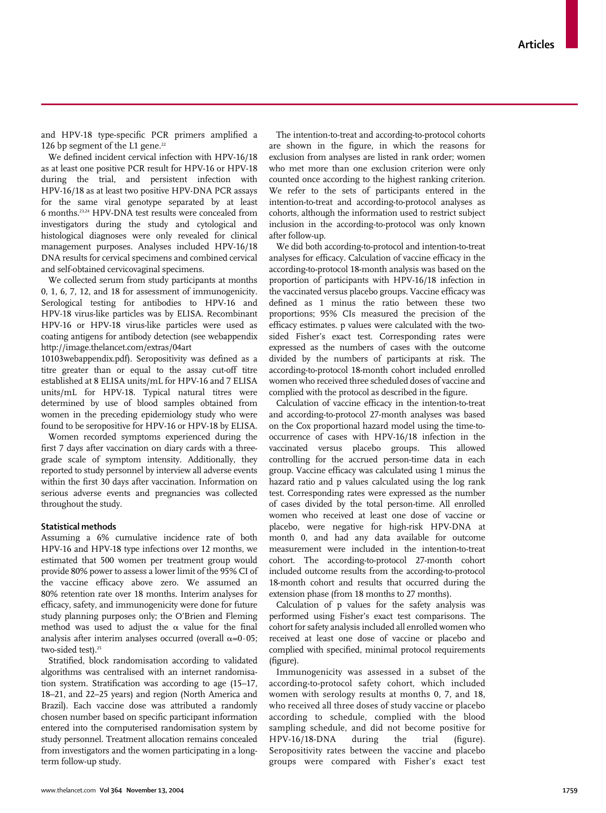and HPV-18 type-specific PCR primers amplified a 126 bp segment of the L1 gene. $^{22}$ 

We defined incident cervical infection with HPV-16/18 as at least one positive PCR result for HPV-16 or HPV-18 during the trial, and persistent infection with HPV-16/18 as at least two positive HPV-DNA PCR assays for the same viral genotype separated by at least 6 months.23,24 HPV-DNA test results were concealed from investigators during the study and cytological and histological diagnoses were only revealed for clinical management purposes. Analyses included HPV-16/18 DNA results for cervical specimens and combined cervical and self-obtained cervicovaginal specimens.

We collected serum from study participants at months 0, 1, 6, 7, 12, and 18 for assessment of immunogenicity. Serological testing for antibodies to HPV-16 and HPV-18 virus-like particles was by ELISA. Recombinant HPV-16 or HPV-18 virus-like particles were used as coating antigens for antibody detection (see webappendix http://image.thelancet.com/extras/04art

10103webappendix.pdf). Seropositivity was defined as a titre greater than or equal to the assay cut-off titre established at 8 ELISA units/mL for HPV-16 and 7 ELISA units/mL for HPV-18. Typical natural titres were determined by use of blood samples obtained from women in the preceding epidemiology study who were found to be seropositive for HPV-16 or HPV-18 by ELISA.

Women recorded symptoms experienced during the first 7 days after vaccination on diary cards with a threegrade scale of symptom intensity. Additionally, they reported to study personnel by interview all adverse events within the first 30 days after vaccination. Information on serious adverse events and pregnancies was collected throughout the study.

# **Statistical methods**

Assuming a 6% cumulative incidence rate of both HPV-16 and HPV-18 type infections over 12 months, we estimated that 500 women per treatment group would provide 80% power to assess a lower limit of the 95% CI of the vaccine efficacy above zero. We assumed an 80% retention rate over 18 months. Interim analyses for efficacy, safety, and immunogenicity were done for future study planning purposes only; the O'Brien and Fleming method was used to adjust the  $\alpha$  value for the final analysis after interim analyses occurred (overall  $\alpha$ =0·05; two-sided test).<sup>25</sup>

Stratified, block randomisation according to validated algorithms was centralised with an internet randomisation system. Stratification was according to age (15–17, 18–21, and 22–25 years) and region (North America and Brazil). Each vaccine dose was attributed a randomly chosen number based on specific participant information entered into the computerised randomisation system by study personnel. Treatment allocation remains concealed from investigators and the women participating in a longterm follow-up study.

The intention-to-treat and according-to-protocol cohorts are shown in the figure, in which the reasons for exclusion from analyses are listed in rank order; women who met more than one exclusion criterion were only counted once according to the highest ranking criterion. We refer to the sets of participants entered in the intention-to-treat and according-to-protocol analyses as cohorts, although the information used to restrict subject inclusion in the according-to-protocol was only known after follow-up.

We did both according-to-protocol and intention-to-treat analyses for efficacy. Calculation of vaccine efficacy in the according-to-protocol 18-month analysis was based on the proportion of participants with HPV-16/18 infection in the vaccinated versus placebo groups. Vaccine efficacy was defined as 1 minus the ratio between these two proportions; 95% CIs measured the precision of the efficacy estimates. p values were calculated with the twosided Fisher's exact test. Corresponding rates were expressed as the numbers of cases with the outcome divided by the numbers of participants at risk. The according-to-protocol 18-month cohort included enrolled women who received three scheduled doses of vaccine and complied with the protocol as described in the figure.

Calculation of vaccine efficacy in the intention-to-treat and according-to-protocol 27-month analyses was based on the Cox proportional hazard model using the time-tooccurrence of cases with HPV-16/18 infection in the vaccinated versus placebo groups. This allowed controlling for the accrued person-time data in each group. Vaccine efficacy was calculated using 1 minus the hazard ratio and p values calculated using the log rank test. Corresponding rates were expressed as the number of cases divided by the total person-time. All enrolled women who received at least one dose of vaccine or placebo, were negative for high-risk HPV-DNA at month 0, and had any data available for outcome measurement were included in the intention-to-treat cohort. The according-to-protocol 27-month cohort included outcome results from the according-to-protocol 18-month cohort and results that occurred during the extension phase (from 18 months to 27 months).

Calculation of p values for the safety analysis was performed using Fisher's exact test comparisons. The cohort for safety analysis included all enrolled women who received at least one dose of vaccine or placebo and complied with specified, minimal protocol requirements (figure).

Immunogenicity was assessed in a subset of the according-to-protocol safety cohort, which included women with serology results at months 0, 7, and 18, who received all three doses of study vaccine or placebo according to schedule, complied with the blood sampling schedule, and did not become positive for HPV-16/18-DNA during the trial (figure). Seropositivity rates between the vaccine and placebo groups were compared with Fisher's exact test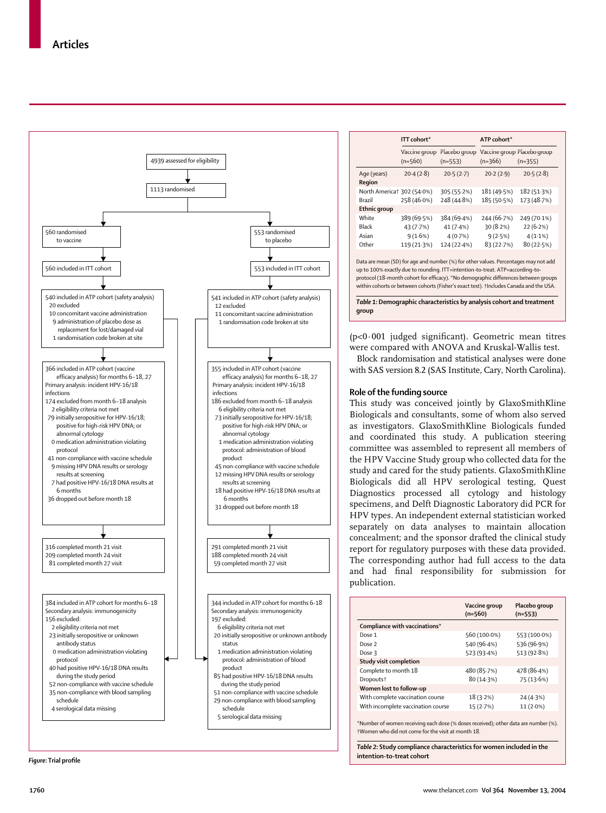

|                            | ITT cohort*                |                            | ATP cohort* |                                          |  |  |  |
|----------------------------|----------------------------|----------------------------|-------------|------------------------------------------|--|--|--|
|                            | Vaccine group<br>$(n=560)$ | Placebo group<br>$(n=553)$ | $(n=366)$   | Vaccine group Placebo group<br>$(n=355)$ |  |  |  |
| Age (years)<br>Region      | 20.4(2.8)                  | 20.5(2.7)                  | 20.2(2.9)   | 20.5(2.8)                                |  |  |  |
| North America† 302 (54.0%) |                            | 305 (55.2%)                | 181 (49.5%) | 182 (51.3%)                              |  |  |  |
| Brazil                     | 258 (46.0%)                | 248 (44.8%)                | 185 (50.5%) | 173 (48.7%)                              |  |  |  |
| Ethnic group               |                            |                            |             |                                          |  |  |  |
| White                      | 389 (69.5%)                | 384 (69.4%)                | 244 (66.7%) | 249 (70.1%)                              |  |  |  |
| Black                      | 43(7.7%)                   | 41(7.4%)                   | 30(8.2%)    | 22(6.2%)                                 |  |  |  |
| Asian                      | 9(1.6%)                    | 4(0.7%)                    | 9(2.5%)     | $4(1.1\%)$                               |  |  |  |
| Other                      | 119 (21.3%)                | 124 (22.4%)                | 83 (22.7%)  | 80(22.5%)                                |  |  |  |
|                            |                            |                            |             |                                          |  |  |  |

Data are mean (SD) for age and number (%) for other values. Percentages may not add up to 100% exactly due to rounding. ITT=intention-to-treat. ATP=according-toprotocol (18-month cohort for efficacy). \*No demographic differences between groups within cohorts or between cohorts (Fisher's exact test). †Includes Canada and the USA.

*Table 1:* **Demographic characteristics by analysis cohort and treatment group** 

(p<0·001 judged significant). Geometric mean titres were compared with ANOVA and Kruskal-Wallis test.

Block randomisation and statistical analyses were done with SAS version 8.2 (SAS Institute, Cary, North Carolina).

## **Role of the funding source**

This study was conceived jointly by GlaxoSmithKline Biologicals and consultants, some of whom also served as investigators. GlaxoSmithKline Biologicals funded and coordinated this study. A publication steering committee was assembled to represent all members of the HPV Vaccine Study group who collected data for the study and cared for the study patients. GlaxoSmithKline Biologicals did all HPV serological testing, Quest Diagnostics processed all cytology and histology specimens, and Delft Diagnostic Laboratory did PCR for HPV types. An independent external statistician worked separately on data analyses to maintain allocation concealment; and the sponsor drafted the clinical study report for regulatory purposes with these data provided. The corresponding author had full access to the data and had final responsibility for submission for publication.

|                                    | Vaccine group<br>$(n=560)$ | Placebo group<br>$(n=553)$ |
|------------------------------------|----------------------------|----------------------------|
| Compliance with vaccinations*      |                            |                            |
| Dose 1                             | 560 (100.0%)               | 553 (100.0%)               |
| Dose 2                             | 540 (96.4%)                | 536 (96.9%)                |
| Dose 3                             | 523 (93.4%)                | 513 (92.8%)                |
| Study visit completion             |                            |                            |
| Complete to month 18               | 480 (85.7%)                | 478 (86.4%)                |
| Dropouts <sup>+</sup>              | 80 (14.3%)                 | 75 (13.6%)                 |
| Women lost to follow-up            |                            |                            |
| With complete vaccination course   | 18(3.2%)                   | 24(4.3%)                   |
| With incomplete vaccination course | 15(2.7%)                   | $11(2.0\%)$                |
|                                    |                            |                            |

\*Number of women receiving each dose (% doses received); other data are number (%). †Women who did not come for the visit at month 18.

*Table 2:* **Study compliance characteristics for women included in the intention-to-treat cohort**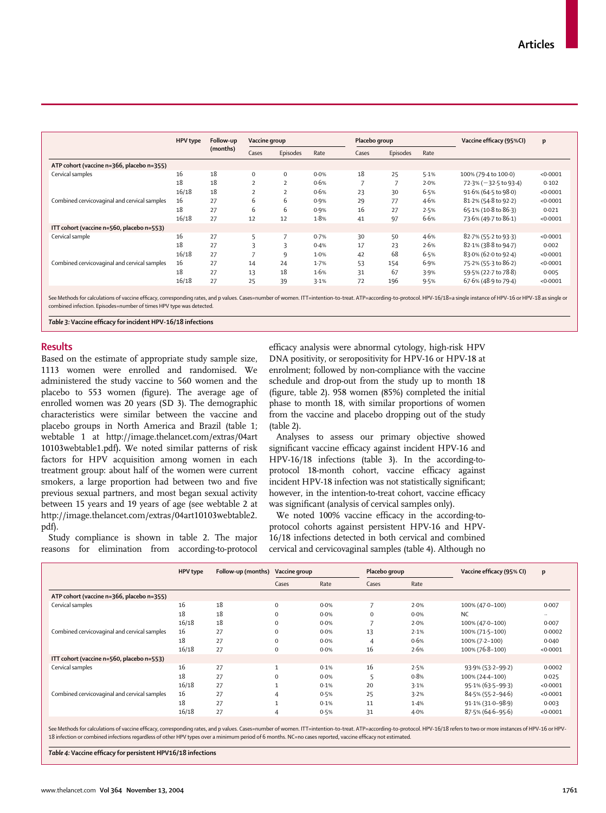| <b>HPV</b> type | Follow-up |                |                |               |       |          |               | Vaccine efficacy (95%CI) | p        |
|-----------------|-----------|----------------|----------------|---------------|-------|----------|---------------|--------------------------|----------|
|                 | (months)  | Cases          | Episodes       | Rate          | Cases | Episodes | Rate          |                          |          |
|                 |           |                |                |               |       |          |               |                          |          |
| 16              | 18        | $\mathbf 0$    | $\Omega$       | 0.0%          | 18    | 25       | 5.1%          | 100% (79-4 to 100-0)     | < 0.0001 |
| 18              | 18        | $\overline{2}$ | $\overline{2}$ | 0.6%          |       | 7        | 2.0%          | 72.3% (-32.5 to 93.4)    | 0.102    |
| 16/18           | 18        | $\overline{2}$ | $\overline{2}$ | 0.6%          | 23    | 30       | 6.5%          | 91.6% (64.5 to 98.0)     | < 0.0001 |
| 16              | 27        | 6              | 6              | 0.9%          | 29    | 77       | 4.6%          | 81.2% (54.8 to 92.2)     | < 0.0001 |
| 18              | 27        | 6              | 6              | 0.9%          | 16    | 27       | 2.5%          | 65.1% (10.8 to 86.3)     | 0.021    |
| 16/18           | 27        | 12             | 12             | 1.8%          | 41    | 97       | 6.6%          | 73.6% (49.7 to 86.1)     | < 0.0001 |
|                 |           |                |                |               |       |          |               |                          |          |
| 16              | 27        | 5              |                | 0.7%          | 30    | 50       | 4.6%          | 82.7% (55.2 to 93.3)     | < 0.0001 |
| 18              | 27        | 3              | ς              | 0.4%          | 17    | 23       | 2.6%          | 82.1% (38.8 to 94.7)     | 0.002    |
| 16/18           | 27        | $\overline{ }$ | 9              | 1.0%          | 42    | 68       | 6.5%          | 83.0% (62.0 to 92.4)     | < 0.0001 |
| 16              | 27        | 14             | 24             | 1.7%          | 53    | 154      | 6.9%          | 75.2% (55.3 to 86.2)     | < 0.0001 |
| 18              | 27        | 13             | 18             | 1.6%          | 31    | 67       | 3.9%          | 59.5% (22.7 to 78.8)     | 0.005    |
| 16/18           | 27        | 25             | 39             | 3.1%          | 72    | 196      | 9.5%          | 67.6% (48.9 to 79.4)     | < 0.0001 |
|                 |           |                |                | Vaccine group |       |          | Placebo group |                          |          |

See Methods for calculations of vaccine efficacy, corresponding rates, and p values. Cases=number of women. ITT=intention-to-treat. ATP=according-to-protocol. HPV-16/18=a single instance of HPV-16 or HPV-18 as single or combined infection. Episodes=number of times HPV type was detected.

*Table 3:* **Vaccine efficacy for incident HPV-16/18 infections**

## **Results**

Based on the estimate of appropriate study sample size, 1113 women were enrolled and randomised. We administered the study vaccine to 560 women and the placebo to 553 women (figure). The average age of enrolled women was 20 years (SD 3). The demographic characteristics were similar between the vaccine and placebo groups in North America and Brazil (table 1; webtable 1 at http://image.thelancet.com/extras/04art 10103webtable1.pdf)**.** We noted similar patterns of risk factors for HPV acquisition among women in each treatment group: about half of the women were current smokers, a large proportion had between two and five previous sexual partners, and most began sexual activity between 15 years and 19 years of age (see webtable 2 at http://image.thelancet.com/extras/04art10103webtable2. pdf).

Study compliance is shown in table 2. The major reasons for elimination from according-to-protocol efficacy analysis were abnormal cytology, high-risk HPV DNA positivity, or seropositivity for HPV-16 or HPV-18 at enrolment; followed by non-compliance with the vaccine schedule and drop-out from the study up to month 18 (figure, table 2). 958 women (85%) completed the initial phase to month 18, with similar proportions of women from the vaccine and placebo dropping out of the study (table 2).

Analyses to assess our primary objective showed significant vaccine efficacy against incident HPV-16 and HPV-16/18 infections (table 3). In the according-toprotocol 18-month cohort, vaccine efficacy against incident HPV-18 infection was not statistically significant; however, in the intention-to-treat cohort, vaccine efficacy was significant (analysis of cervical samples only).

We noted 100% vaccine efficacy in the according-toprotocol cohorts against persistent HPV-16 and HPV-16/18 infections detected in both cervical and combined cervical and cervicovaginal samples (table 4). Although no

|                                              | <b>HPV</b> type | Follow-up (months) | Vaccine group |      | Placebo group       |      | Vaccine efficacy (95% CI) | p        |
|----------------------------------------------|-----------------|--------------------|---------------|------|---------------------|------|---------------------------|----------|
|                                              |                 |                    | Cases         | Rate | Cases               | Rate |                           |          |
| ATP cohort (vaccine n=366, placebo n=355)    |                 |                    |               |      |                     |      |                           |          |
| Cervical samples                             | 16              | 18                 | $\Omega$      | 0.0% | $\overline{7}$      | 2.0% | 100% (47.0-100)           | 0.007    |
|                                              | 18              | 18                 | $\mathbf 0$   | 0.0% | $\mathbf 0$         | 0.0% | <b>NC</b>                 | $\cdots$ |
|                                              | 16/18           | 18                 | $\Omega$      | 0.0% | $\overline{7}$      | 2.0% | 100% (47.0-100)           | 0.007    |
| Combined cervicovaginal and cervical samples | 16              | 27                 | $\Omega$      | 0.0% | 13                  | 2.1% | 100% (71.5-100)           | 0.0002   |
|                                              | 18              | 27                 | $\Omega$      | 0.0% | $\overline{4}$      | 0.6% | $100\% (7.2 - 100)$       | 0.040    |
|                                              | 16/18           | 27                 | $\mathbf 0$   | 0.0% | 16                  | 2.6% | 100% (76-8-100)           | < 0.0001 |
| ITT cohort (vaccine n=560, placebo n=553)    |                 |                    |               |      |                     |      |                           |          |
| Cervical samples                             | 16              | 27                 |               | 0.1% | 16                  | 2.5% | 93.9% (53.2-99.2)         | 0.0002   |
|                                              | 18              | 27                 | $\Omega$      | 0.0% | $\blacksquare$<br>ь | 0.8% | 100% (24-4-100)           | 0.025    |
|                                              | 16/18           | 27                 |               | 0.1% | 20                  | 3.1% | $95.1\% (63.5 - 99.3)$    | < 0.0001 |
| Combined cervicovaginal and cervical samples | 16              | 27                 | 4             | 0.5% | 25                  | 3.2% | 84.5% (55.2-94.6)         | < 0.0001 |
|                                              | 18              | 27                 |               | 0.1% | 11                  | 1.4% | 91.1% (31.0-98.9)         | 0.003    |
|                                              | 16/18           | 27                 | 4             | 0.5% | 31                  | 4.0% | $87.5\%$ (64.6-95.6)      | < 0.0001 |

See Methods for calculations of vaccine efficacy, corresponding rates, and p values. Cases=number of women. ITT=intention-to-treat. ATP=according-to-protocol. HPV-16/18 refers to two or more instances of HPV-16 or HPV-18 infection or combined infections regardless of other HPV types over a minimum period of 6 months. NC=no cases reported, vaccine efficacy not estimated.

*Table 4:* **Vaccine efficacy for persistent HPV16/18 infections**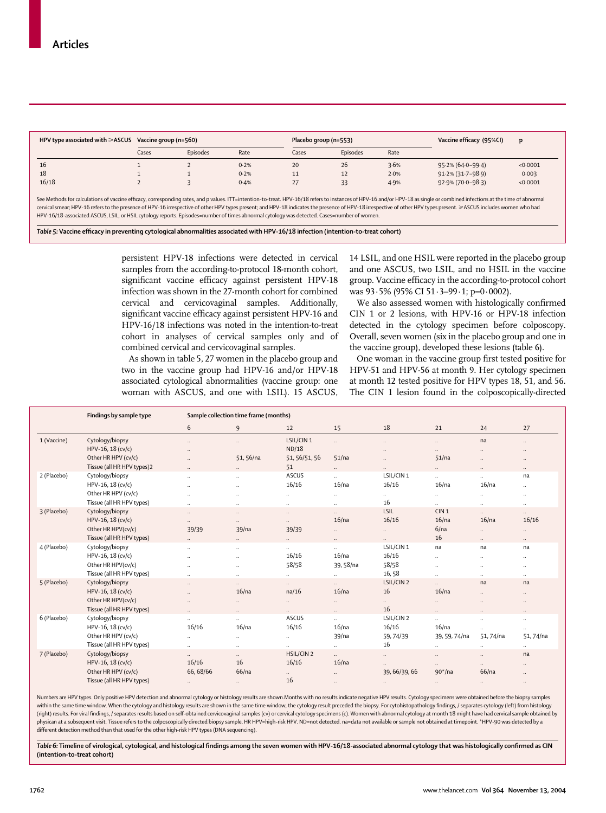| HPV type associated with $\geq$ ASCUS Vaccine group (n=560) |       |          |      | Placebo group (n=553) |          |      | Vaccine efficacy (95%CI) | D        |
|-------------------------------------------------------------|-------|----------|------|-----------------------|----------|------|--------------------------|----------|
|                                                             | Cases | Episodes | Rate | Cases                 | Episodes | Rate |                          |          |
| 16                                                          |       |          | 0.2% | 20                    | 26       | 3.6% | 95.2% (64.0-99.4)        | < 0.0001 |
| 18                                                          |       |          | 0.2% | <b>II</b>             | 12       | 2.0% | $91.2\%$ (31.7-98.9)     | 0.003    |
| 16/18                                                       |       |          | 0.4% | $\frac{2}{\sqrt{2}}$  |          | 4.9% | 92.9% (70.0–98.3)        | < 0.0001 |

See Methods for calculations of vaccine efficacy, corresponding rates, and p values. ITT=intention-to-treat. HPV-16/18 refers to instances of HPV-16 and/or HPV-18 as single or combined infections at the time of abnormal cervical smear; HPV-16 refers to the presence of HPV-16 irrespective of other HPV types present; and HPV-18 indicates the presence of HPV-18 irrespective of other HPV types present. ≥ASCUS includes women who had HPV-16/18-associated ASCUS, LSIL, or HSIL cytology reports. Episodes=number of times abnormal cytology was detected. Cases=number of women.

*Table 5:* **Vaccine efficacy in preventing cytological abnormalities associated with HPV-16/18 infection (intention-to-treat cohort)**

persistent HPV-18 infections were detected in cervical samples from the according-to-protocol 18-month cohort, significant vaccine efficacy against persistent HPV-18 infection was shown in the 27-month cohort for combined cervical and cervicovaginal samples. Additionally, significant vaccine efficacy against persistent HPV-16 and HPV-16/18 infections was noted in the intention-to-treat cohort in analyses of cervical samples only and of combined cervical and cervicovaginal samples.

As shown in table 5, 27 women in the placebo group and two in the vaccine group had HPV-16 and/or HPV-18 associated cytological abnormalities (vaccine group: one woman with ASCUS, and one with LSIL). 15 ASCUS, 14 LSIL, and one HSIL were reported in the placebo group and one ASCUS, two LSIL, and no HSIL in the vaccine group. Vaccine efficacy in the according-to-protocol cohort was 93·5% (95% CI 51·3–99·1; p=0·0002).

We also assessed women with histologically confirmed CIN 1 or 2 lesions, with HPV-16 or HPV-18 infection detected in the cytology specimen before colposcopy. Overall, seven women (six in the placebo group and one in the vaccine group), developed these lesions (table 6).

One woman in the vaccine group first tested positive for HPV-51 and HPV-56 at month 9. Her cytology specimen at month 12 tested positive for HPV types 18, 51, and 56. The CIN 1 lesion found in the colposcopically-directed

|             | Findings by sample type    |                      | Sample collection time frame (months) |               |                      |                      |                      |                      |                      |
|-------------|----------------------------|----------------------|---------------------------------------|---------------|----------------------|----------------------|----------------------|----------------------|----------------------|
|             |                            | 6                    | $\overline{9}$                        | 12            | 15                   | 18                   | 21                   | 24                   | 27                   |
| 1 (Vaccine) | Cytology/biopsy            | $\ddotsc$            | $\ddotsc$                             | LSIL/CIN1     | $\ddotsc$            | $\ddotsc$            | $\ldots$             | na                   | $\ldots$             |
|             | HPV-16, 18 (cv/c)          | $\ddotsc$            |                                       | ND/18         |                      |                      | $\ldots$             | $\ddotsc$            | $\ldots$             |
|             | Other HR HPV (cv/c)        | $\ddot{\phantom{a}}$ | 51, 56/na                             | 51, 56/51, 56 | 51/na                | $\ddot{\phantom{a}}$ | 51/na                | $\ddot{\phantom{a}}$ | $\ddotsc$            |
|             | Tissue (all HR HPV types)2 | $\ldots$             | $\ddot{\phantom{0}}$                  | 51            | $\ddotsc$            | $\ddot{\phantom{a}}$ | $\ddotsc$            | $\ldots$             | $\ldots$             |
| 2 (Placebo) | Cytology/biopsy            | $\ddotsc$            | $\ldots$                              | ASCUS         | $\ddot{\phantom{a}}$ | LSIL/CIN1            | $\ddot{\phantom{a}}$ | $\ddotsc$            | na                   |
|             | HPV-16, 18 (cv/c)          | $\ddotsc$            | $\ldots$                              | 16/16         | 16/na                | 16/16                | 16/na                | 16/na                | $\ldots$             |
|             | Other HR HPV (cv/c)        | $\ddotsc$            |                                       | $\ldots$      |                      | $\cdots$             |                      | $\ldots$             | $\cdots$             |
|             | Tissue (all HR HPV types)  | $\ddot{\phantom{0}}$ | $\ddot{\phantom{a}}$                  | $\ddotsc$     | $\ddotsc$            | 16                   | $\ddot{\phantom{a}}$ | $\ddots$             |                      |
| 3 (Placebo) | Cytology/biopsy            | $\ddots$             | $\ddotsc$                             | $\cdots$      | $\ddotsc$            | LSIL                 | CIN <sub>1</sub>     | $\ddots$             | $\ldots$             |
|             | HPV-16, 18 (cv/c)          | $\ldots$             | $\ddotsc$                             | $\ddotsc$     | 16/na                | 16/16                | 16/na                | 16/na                | 16/16                |
|             | Other HR HPV(cv/c)         | 39/39                | 39/na                                 | 39/39         | $\ddotsc$            | $\ddotsc$            | 6/na                 | $\ddotsc$            | $\cdots$             |
|             | Tissue (all HR HPV types)  | $\ddots$             | $\ldots$                              | $\cdots$      | $\ldots$             | $\ddotsc$            | 16                   | $\ddots$             | $\ldots$             |
| 4 (Placebo) | Cytology/biopsy            | $\ddotsc$            | $\cdots$                              | $\cdots$      |                      | LSIL/CIN 1           | na                   | na                   | na                   |
|             | HPV-16, 18 (cv/c)          | $\ddots$             | $\ddot{\phantom{a}}$                  | 16/16         | 16/na                | 16/16                |                      | $\ldots$             | $\ldots$             |
|             | Other HR HPV(cv/c)         | $\ddotsc$            | $\ddotsc$                             | 58/58         | 39, 58/na            | 58/58                | $\ddotsc$            | $\ddotsc$            | $\ddotsc$            |
|             | Tissue (all HR HPV types)  | $\ddotsc$            | $\ldots$                              | $\ldots$      | $\ddotsc$            | 16,58                |                      | $\ldots$             | $\ldots$             |
| 5 (Placebo) | Cytology/biopsy            | $\ddotsc$            | $\ddot{\phantom{0}}$                  | $\cdots$      | $\ddotsc$            | LSIL/CIN 2           | $\ddotsc$            | na                   | na                   |
|             | HPV-16, 18 (cv/c)          | $\ddotsc$            | 16/na                                 | na/16         | 16/na                | 16                   | 16/na                | $\ddotsc$            | $\ddotsc$            |
|             | Other HR HPV(cv/c)         | $\cdots$             | $\ldots$                              | $\cdots$      | $\cdots$             | $\cdots$             | $\ddotsc$            | $\cdots$             | $\cdots$             |
|             | Tissue (all HR HPV types)  | $\ddots$             | $\ldots$                              | $\ddotsc$     | $\ddotsc$            | 16                   | $\ddots$             | $\ddots$             | $\ldots$             |
| 6 (Placebo) | Cytology/biopsy            | $\ldots$             | $\ldots$                              | ASCUS         | $\ddot{\phantom{a}}$ | LSIL/CIN 2           | $\ddotsc$            | $\ldots$             | $\ldots$             |
|             | HPV-16, 18 (cv/c)          | 16/16                | 16/na                                 | 16/16         | 16/na                | 16/16                | 16/na                | $\ldots$             | $\ldots$             |
|             | Other HR HPV (cv/c)        | $\ldots$             | $\ldots$                              | $\ldots$      | 39/na                | 59,74/39             | 39, 59, 74/na        | 51,74/na             | 51,74/na             |
|             | Tissue (all HR HPV types)  | $\ldots$             | $\ldots$                              | $\ldots$      | $\ddotsc$            | 16                   | $\ddotsc$            | $\ddotsc$            | $\ldots$             |
| 7 (Placebo) | Cytology/biopsy            | $\ddotsc$            | $\ddot{\phantom{0}}$                  | HSIL/CIN 2    | $\sim$               |                      | $\ddotsc$            | $\ddots$             | na                   |
|             | HPV-16, 18 (cv/c)          | 16/16                | 16                                    | 16/16         | 16/na                |                      | $\ddot{\phantom{a}}$ | $\ddots$             | $\ddot{\phantom{a}}$ |
|             | Other HR HPV (cv/c)        | 66, 68/66            | 66/na                                 | $\cdots$      | $\ddotsc$            | 39, 66/39, 66        | $90*/na$             | 66/na                | $\cdots$             |
|             | Tissue (all HR HPV types)  | $\ldots$             | $\ldots$                              | 16            |                      |                      | $\ddotsc$            | $\ddotsc$            | $\ddotsc$            |

Numbers are HPV types. Only positive HPV detection and abnormal cytology or histology results are shown.Months with no results indicate negative HPV results. Cytology specimens were obtained before the biopsy samples within the same time window. When the cytology and histology results are shown in the same time window, the cytology result preceded the biopsy. For cytohistopathology findings, / separates cytology (left) from histology (right) results. For viral findings, / separates results based on self-obtained cervicovaginal samples (cv) or cervical cytology specimens (c). Women with abnormal cytology at month 18 might have had cervical sample obtain physican at a subsequent visit. Tissue refers to the colposcopically directed biopsy sample. HR HPV=high-risk HPV. ND=not detected. na=data not available or sample not obtained at timepoint. \*HPV-90 was detected by a different detection method than that used for the other high-risk HPV types (DNA sequencing).

*Table 6:* **Timeline of virological, cytological, and histological findings among the seven women with HPV-16/18-associated abnormal cytology that was histologically confirmed as CIN (intention-to-treat cohort)**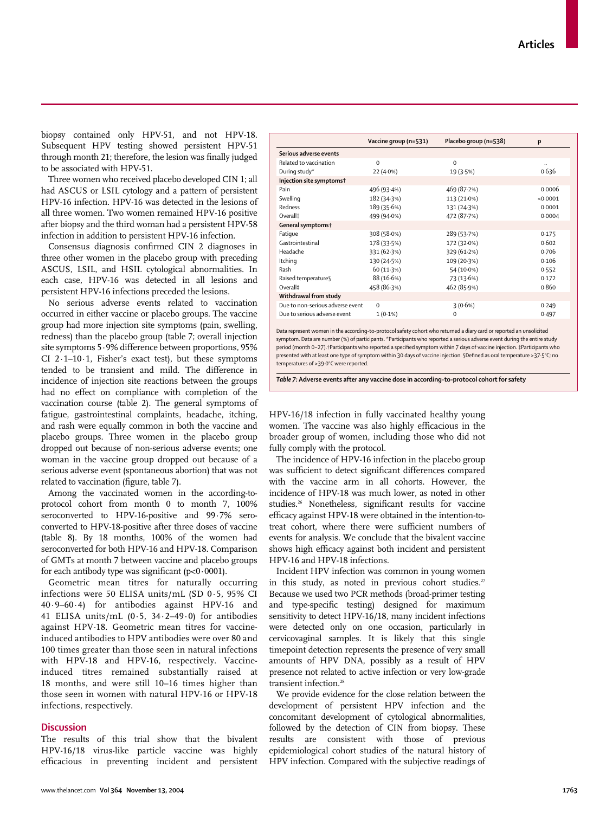www.thelancet.com **Vol 364 November 13, 2004** 1763

biopsy contained only HPV-51, and not HPV-18. Subsequent HPV testing showed persistent HPV-51 through month 21; therefore, the lesion was finally judged to be associated with HPV-51.

Three women who received placebo developed CIN 1; all had ASCUS or LSIL cytology and a pattern of persistent HPV-16 infection. HPV-16 was detected in the lesions of all three women. Two women remained HPV-16 positive after biopsy and the third woman had a persistent HPV-58 infection in addition to persistent HPV-16 infection.

Consensus diagnosis confirmed CIN 2 diagnoses in three other women in the placebo group with preceding ASCUS, LSIL, and HSIL cytological abnormalities. In each case, HPV-16 was detected in all lesions and persistent HPV-16 infections preceded the lesions.

No serious adverse events related to vaccination occurred in either vaccine or placebo groups. The vaccine group had more injection site symptoms (pain, swelling, redness) than the placebo group (table 7; overall injection site symptoms 5·9% difference between proportions, 95% CI 2·1–10·1, Fisher's exact test), but these symptoms tended to be transient and mild. The difference in incidence of injection site reactions between the groups had no effect on compliance with completion of the vaccination course (table 2). The general symptoms of fatigue, gastrointestinal complaints, headache, itching, and rash were equally common in both the vaccine and placebo groups. Three women in the placebo group dropped out because of non-serious adverse events; one woman in the vaccine group dropped out because of a serious adverse event (spontaneous abortion) that was not related to vaccination (figure, table 7).

Among the vaccinated women in the according-toprotocol cohort from month 0 to month 7, 100% seroconverted to HPV-16-positive and 99·7% seroconverted to HPV-18-positive after three doses of vaccine (table 8). By 18 months, 100% of the women had seroconverted for both HPV-16 and HPV-18. Comparison of GMTs at month 7 between vaccine and placebo groups for each antibody type was significant ( $p < 0.0001$ ).

Geometric mean titres for naturally occurring infections were 50 ELISA units/mL (SD 0·5, 95% CI 40·9–60·4) for antibodies against HPV-16 and 41 ELISA units/mL (0·5, 34·2–49·0) for antibodies against HPV-18. Geometric mean titres for vaccineinduced antibodies to HPV antibodies were over 80 and 100 times greater than those seen in natural infections with HPV-18 and HPV-16, respectively. Vaccineinduced titres remained substantially raised at 18 months, and were still 10–16 times higher than those seen in women with natural HPV-16 or HPV-18 infections, respectively.

# **Discussion**

The results of this trial show that the bivalent HPV-16/18 virus-like particle vaccine was highly efficacious in preventing incident and persistent

|                                  | Vaccine group (n=531) | Placebo group (n=538) | p        |
|----------------------------------|-----------------------|-----------------------|----------|
| Serious adverse events           |                       |                       |          |
| Related to vaccination           | $\Omega$              | $\Omega$              |          |
| During study*                    | 22 (4.0%)             | 19 (3.5%)             | 0.636    |
| Injection site symptoms†         |                       |                       |          |
| Pain                             | 496 (93.4%)           | 469 (87.2%)           | 0.0006   |
| Swelling                         | 182 (34.3%)           | 113 (21.0%)           | < 0.0001 |
| Redness                          | 189 (35.6%)           | 131 (24.3%)           | 0.0001   |
| Overall <sup>#</sup>             | 499 (94.0%)           | 472 (87.7%)           | 0.0004   |
| General symptoms <sup>+</sup>    |                       |                       |          |
| Fatique                          | 308 (58.0%)           | 289 (53.7%)           | 0.175    |
| Gastrointestinal                 | 178 (33.5%)           | 172 (32.0%)           | 0.602    |
| Headache                         | 331 (62.3%)           | 329 (61.2%)           | 0.706    |
| Itching                          | 130 (24.5%)           | 109 (20.3%)           | 0.106    |
| Rash                             | 60 (11.3%)            | 54 (10.0%)            | 0.552    |
| Raised temperature§              | 88 (16.6%)            | 73 (13.6%)            | 0.172    |
| Overall <sup>#</sup>             | 458 (86.3%)           | 462 (85.9%)           | 0.860    |
| Withdrawal from study            |                       |                       |          |
| Due to non-serious adverse event | $\Omega$              | 3(0.6%)               | 0.249    |
| Due to serious adverse event     | $1(0.1\%)$            | $\Omega$              | 0.497    |
|                                  |                       |                       |          |

Data represent women in the according-to-protocol safety cohort who returned a diary card or reported an unsolicited symptom. Data are number (%) of participants. \*Participants who reported a serious adverse event during the entire study period (month 0–27).†Participants who reported a specified symptom within 7 days of vaccine injection. ‡Participants who presented with at least one type of symptom within 30 days of vaccine injection. §Defined as oral temperature >37·5°C; no temperatures of >39·0°C were reported.

*Table 7:* **Adverse events after any vaccine dose in according-to-protocol cohort for safety**

HPV-16/18 infection in fully vaccinated healthy young women. The vaccine was also highly efficacious in the broader group of women, including those who did not fully comply with the protocol.

The incidence of HPV-16 infection in the placebo group was sufficient to detect significant differences compared with the vaccine arm in all cohorts. However, the incidence of HPV-18 was much lower, as noted in other studies.26 Nonetheless, significant results for vaccine efficacy against HPV-18 were obtained in the intention-totreat cohort, where there were sufficient numbers of events for analysis. We conclude that the bivalent vaccine shows high efficacy against both incident and persistent HPV-16 and HPV-18 infections.

Incident HPV infection was common in young women in this study, as noted in previous cohort studies.<sup>27</sup> Because we used two PCR methods (broad-primer testing and type-specific testing) designed for maximum sensitivity to detect HPV-16/18, many incident infections were detected only on one occasion, particularly in cervicovaginal samples. It is likely that this single timepoint detection represents the presence of very small amounts of HPV DNA, possibly as a result of HPV presence not related to active infection or very low-grade transient infection.<sup>28</sup>

We provide evidence for the close relation between the development of persistent HPV infection and the concomitant development of cytological abnormalities, followed by the detection of CIN from biopsy. These results are consistent with those of previous epidemiological cohort studies of the natural history of HPV infection. Compared with the subjective readings of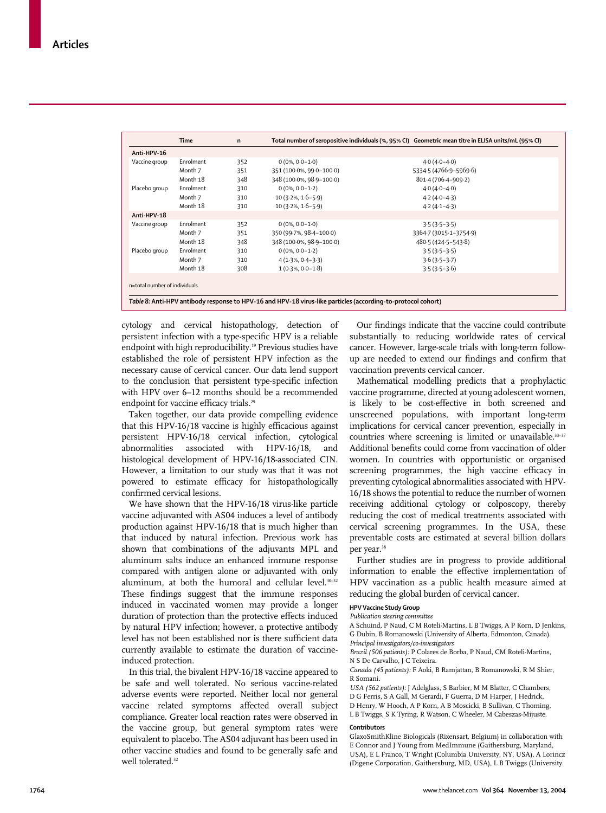|                                | <b>Time</b> | n   | Total number of seropositive individuals (%, 95% CI) Geometric mean titre in ELISA units/mL (95% CI) |                        |
|--------------------------------|-------------|-----|------------------------------------------------------------------------------------------------------|------------------------|
| Anti-HPV-16                    |             |     |                                                                                                      |                        |
| Vaccine group                  | Enrolment   | 352 | $0(0\%, 0.0-1.0)$                                                                                    | $4.0(4.0-4.0)$         |
|                                | Month 7     | 351 | 351 (100.0%, 99.0-100.0)                                                                             | 5334.5 (4766.9-5969.6) |
|                                | Month 18    | 348 | 348 (100.0%, 98.9-100.0)                                                                             | 801.4 (706.4-909.2)    |
| Placebo group                  | Enrolment   | 310 | $0(0\%, 0.0-1.2)$                                                                                    | $4.0(4.0 - 4.0)$       |
|                                | Month 7     | 310 | $10(3.2\%, 1.6-5.9)$                                                                                 | $4.2(4.0-4.3)$         |
|                                | Month 18    | 310 | $10(3.2\%, 1.6-5.9)$                                                                                 | $4.2(4.1 - 4.3)$       |
| Anti-HPV-18                    |             |     |                                                                                                      |                        |
| Vaccine group                  | Enrolment   | 352 | $0(0\%, 0.0-1.0)$                                                                                    | $3.5(3.5-3.5)$         |
|                                | Month 7     | 351 | 350 (99.7%, 98.4-100.0)                                                                              | 3364.7 (3015.1-3754.9) |
|                                | Month 18    | 348 | 348 (100.0%, 98.9-100.0)                                                                             | 480.5 (424.5-543.8)    |
| Placebo group                  | Enrolment   | 310 | $0(0\%, 0.0-1.2)$                                                                                    | $3.5(3.5-3.5)$         |
|                                | Month 7     | 310 | $4(1.3\%, 0.4-3.3)$                                                                                  | $3.6(3.5-3.7)$         |
|                                | Month 18    | 308 | $1(0.3\%, 0.0-1.8)$                                                                                  | $3.5(3.5-3.6)$         |
| n=total number of individuals. |             |     |                                                                                                      |                        |

cytology and cervical histopathology, detection of persistent infection with a type-specific HPV is a reliable endpoint with high reproducibility.<sup>19</sup> Previous studies have established the role of persistent HPV infection as the necessary cause of cervical cancer. Our data lend support to the conclusion that persistent type-specific infection with HPV over 6–12 months should be a recommended endpoint for vaccine efficacy trials.<sup>29</sup>

Taken together, our data provide compelling evidence that this HPV-16/18 vaccine is highly efficacious against persistent HPV-16/18 cervical infection, cytological abnormalities associated with HPV-16/18, and histological development of HPV-16/18-associated CIN. However, a limitation to our study was that it was not powered to estimate efficacy for histopathologically confirmed cervical lesions.

We have shown that the HPV-16/18 virus-like particle vaccine adjuvanted with AS04 induces a level of antibody production against HPV-16/18 that is much higher than that induced by natural infection. Previous work has shown that combinations of the adjuvants MPL and aluminum salts induce an enhanced immune response compared with antigen alone or adjuvanted with only aluminum, at both the humoral and cellular level.<sup>30-32</sup> These findings suggest that the immune responses induced in vaccinated women may provide a longer duration of protection than the protective effects induced by natural HPV infection; however, a protective antibody level has not been established nor is there sufficient data currently available to estimate the duration of vaccineinduced protection.

In this trial, the bivalent HPV-16/18 vaccine appeared to be safe and well tolerated. No serious vaccine-related adverse events were reported. Neither local nor general vaccine related symptoms affected overall subject compliance. Greater local reaction rates were observed in the vaccine group, but general symptom rates were equivalent to placebo. The AS04 adjuvant has been used in other vaccine studies and found to be generally safe and well tolerated.<sup>32</sup>

Our findings indicate that the vaccine could contribute substantially to reducing worldwide rates of cervical cancer. However, large-scale trials with long-term followup are needed to extend our findings and confirm that vaccination prevents cervical cancer.

Mathematical modelling predicts that a prophylactic vaccine programme, directed at young adolescent women, is likely to be cost-effective in both screened and unscreened populations, with important long-term implications for cervical cancer prevention, especially in countries where screening is limited or unavailable.<sup>33-37</sup> Additional benefits could come from vaccination of older women. In countries with opportunistic or organised screening programmes, the high vaccine efficacy in preventing cytological abnormalities associated with HPV-16/18 shows the potential to reduce the number of women receiving additional cytology or colposcopy, thereby reducing the cost of medical treatments associated with cervical screening programmes. In the USA, these preventable costs are estimated at several billion dollars per year.<sup>38</sup>

Further studies are in progress to provide additional information to enable the effective implementation of HPV vaccination as a public health measure aimed at reducing the global burden of cervical cancer.

### **HPV Vaccine Study Group**

#### *Publication steering committee*

A Schuind, P Naud, C M Roteli-Martins, L B Twiggs, A P Korn, D Jenkins, G Dubin, B Romanowski (University of Alberta, Edmonton, Canada). *Principal investigators/co-investigators*

*Brazil (506 patients):* P Colares de Borba, P Naud, CM Roteli-Martins, N S De Carvalho, J C Teixeira.

*Canada (45 patients):* F Aoki, B Ramjattan, B Romanowski, R M Shier, R Somani.

*USA (562 patients):* J Adelglass, S Barbier, M M Blatter, C Chambers, D G Ferris, S A Gall, M Gerardi, F Guerra, D M Harper, J Hedrick, D Henry, W Hooch, A P Korn, A B Moscicki, B Sullivan, C Thoming, L B Twiggs, S K Tyring, R Watson, C Wheeler, M Cabeszas-Mijuste.

## **Contributors**

GlaxoSmithKline Biologicals (Rixensart, Belgium) in collaboration with E Connor and J Young from MedImmune (Gaithersburg, Maryland, USA), E L Franco, T Wright (Columbia University, NY, USA), A Lorincz (Digene Corporation, Gaithersburg, MD, USA), L B Twiggs (University